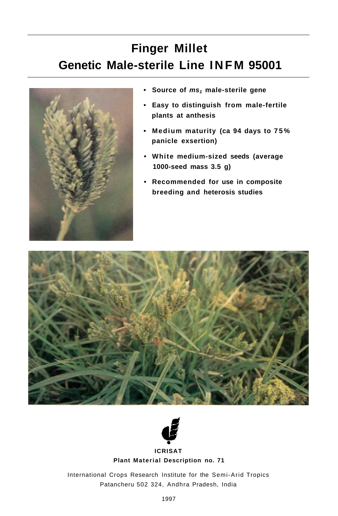# **Finger Millet Genetic Male-sterile Line INF M 95001**



- **Source of ms1 male-sterile gene**
- **Easy to distinguish from male-fertile plants at anthesis**
- **Medium maturity (ca 94 days to 75 % panicle exsertion)**
- **White medium-sized seeds (average 1000-seed mass 3.5 g)**
- **Recommended for use in composite breeding and heterosis studies**





#### **Plant Material Description no. 71**

International Crops Research Institute for the Semi-Arid Tropics Patancheru 502 324, Andhra Pradesh, India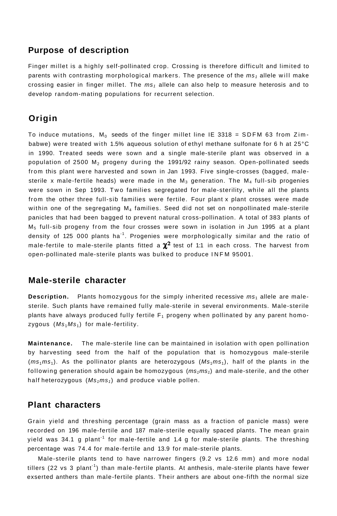### **Purpose of description**

Finger millet is a highly self-pollinated crop. Crossing is therefore difficult and limited to parents with contrasting morphological markers. The presence of the  $ms<sub>i</sub>$  allele will make crossing easier in finger millet. The  $ms<sub>1</sub>$  allele can also help to measure heterosis and to develop random-mating populations for recurrent selection.

## **Origin**

To induce mutations,  $M_0$  seeds of the finger millet line IE 3318 = SDFM 63 from Zimbabwe) were treated with 1.5% aqueous solution of ethyl methane sulfonate for 6 h at 25°C in 1990. Treated seeds were sown and a single male-sterile plant was observed in a population of 2500  $M<sub>2</sub>$  progeny during the 1991/92 rainy season. Open-pollinated seeds from this plant were harvested and sown in Jan 1993. Five single-crosses (bagged, malesterile x male-fertile heads) were made in the  $M_3$  generation. The  $M_4$  full-sib progenies were sown in Sep 1993. Two families segregated for male-sterility, while all the plants from the other three full-sib families were fertile. Four plant x plant crosses were made within one of the segregating  $M_4$  families. Seed did not set on nonpollinated male-sterile panicles that had been bagged to prevent natural cross-pollination. A total of 383 plants of  $M<sub>5</sub>$  full-sib progeny from the four crosses were sown in isolation in Jun 1995 at a plant density of 125 000 plants ha<sup>-1</sup>. Progenies were morphologically similar and the ratio of male-fertile to male-sterile plants fitted a  $\chi^2$  test of 1:1 in each cross. The harvest from open-pollinated male-sterile plants was bulked to produce INFM 95001.

#### **Male-sterile character**

**Description.** Plants homozygous for the simply inherited recessive  $ms<sub>1</sub>$  allele are malesterile. Such plants have remained fully male-sterile in several environments. Male-sterile plants have always produced fully fertile  $F_1$  progeny when pollinated by any parent homozygous  $(Ms_1Ms_1)$  for male-fertility.

**Maintenance.** The male-sterile line can be maintained in isolation with open pollination by harvesting seed from the half of the population that is homozygous male-sterile  $(ms_1ms_1)$ . As the pollinator plants are heterozygous  $(Ms_1ms_1)$  $(Ms_1ms_1)$  $(Ms_1ms_1)$ , half of the plants in the following generation should again be homozygous  $(m_5+ m_5)$  and male-sterile, and the other half heterozygous  $(Ms_1ms_1)$  and produce viable pollen.

## **Plant characters**

Grain yield and threshing percentage (grain mass as a fraction of panicle mass) were recorded on 196 male-fertile and 187 male-sterile equally spaced plants. The mean grain yield was 34.1 g plant<sup>-1</sup> for male-fertile and 1.4 g for male-sterile plants. The threshing percentage was 74.4 for male-fertile and 13.9 for male-sterile plants.

Male-sterile plants tend to have narrower fingers (9.2 vs 12.6 mm) and more nodal tillers (22 vs 3 plant<sup>-1</sup>) than male-fertile plants. At anthesis, male-sterile plants have fewer exserted anthers than male-fertile plants. Their anthers are about one-fifth the normal size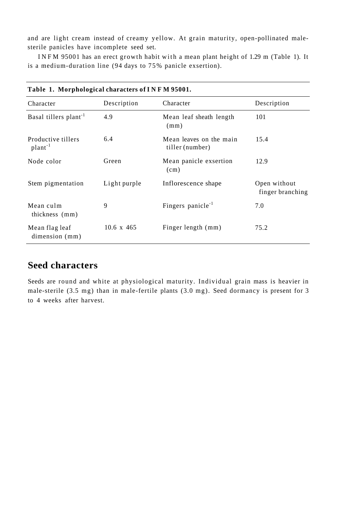and are light cream instead of creamy yellow. At grain maturity, open-pollinated malesterile panicles have incomplete seed set.

INFM 95001 has an erect growth habit with a mean plant height of 1.29 m (Table 1). It is a medium-duration line (94 days to 75% panicle exsertion).

| Table 1. MOI phological characters of I is F M 95001. |                   |                                            |                                  |
|-------------------------------------------------------|-------------------|--------------------------------------------|----------------------------------|
| Character                                             | Description       | Character                                  | Description                      |
| Basal tillers plant <sup>-1</sup>                     | 4.9               | Mean leaf sheath length<br>(mm)            | 101                              |
| Productive tillers<br>$plant^{-1}$                    | 6.4               | Mean leaves on the main<br>tiller (number) | 15.4                             |
| Node color                                            | Green             | Mean panicle exsertion<br>(cm)             | 12.9                             |
| Stem pigmentation                                     | Light purple      | Inflorescence shape                        | Open without<br>finger branching |
| Mean culm<br>thickness (mm)                           | 9                 | Fingers panicle <sup>-1</sup>              | 7.0                              |
| Mean flag leaf<br>dimension (mm)                      | $10.6 \times 465$ | Finger length (mm)                         | 75.2                             |

**Table 1. Morphological characters of INF M 95001.** 

# **Seed characters**

Seeds are round and white at physiological maturity. Individual grain mass is heavier in male-sterile (3.5 mg) than in male-fertile plants (3.0 mg). Seed dormancy is present for 3 to 4 weeks after harvest.